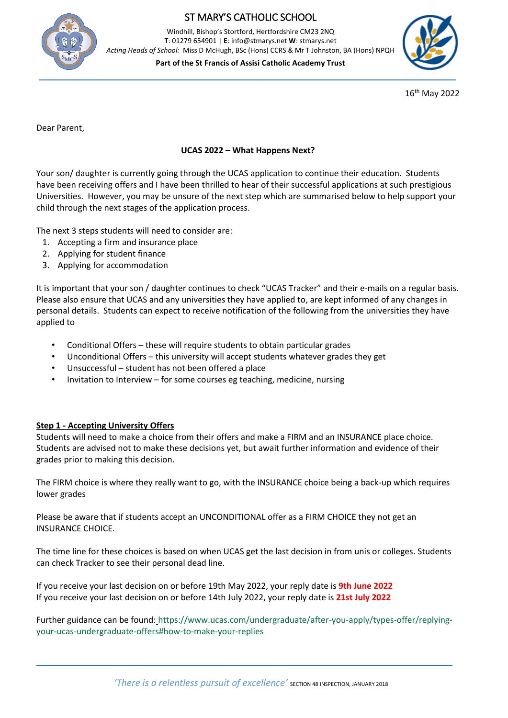

# ST MARY'S CATHOLIC SCHOOL

Windhill, Bishop's Stortford, Hertfordshire CM23 2NQ **T**: 01279 654901 | **E**: info@stmarys.net **W**: stmarys.net *Acting Heads of School:* Miss D McHugh, BSc (Hons) CCRS & Mr T Johnston, BA (Hons) NPQH

**Part of the St Francis of Assisi Catholic Academy Trust**



16th May 2022

Dear Parent,

### **UCAS 2022 – What Happens Next?**

Your son/ daughter is currently going through the UCAS application to continue their education. Students have been receiving offers and I have been thrilled to hear of their successful applications at such prestigious Universities. However, you may be unsure of the next step which are summarised below to help support your child through the next stages of the application process.

The next 3 steps students will need to consider are:

- 1. Accepting a firm and insurance place
- 2. Applying for student finance
- 3. Applying for accommodation

It is important that your son / daughter continues to check "UCAS Tracker" and their e-mails on a regular basis. Please also ensure that UCAS and any universities they have applied to, are kept informed of any changes in personal details. Students can expect to receive notification of the following from the universities they have applied to

- Conditional Offers these will require students to obtain particular grades
- Unconditional Offers this university will accept students whatever grades they get
- Unsuccessful student has not been offered a place
- Invitation to Interview for some courses eg teaching, medicine, nursing

#### **Step 1 - Accepting University Offers**

Students will need to make a choice from their offers and make a FIRM and an INSURANCE place choice. Students are advised not to make these decisions yet, but await further information and evidence of their grades prior to making this decision.

The FIRM choice is where they really want to go, with the INSURANCE choice being a back-up which requires lower grades

Please be aware that if students accept an UNCONDITIONAL offer as a FIRM CHOICE they not get an INSURANCE CHOICE.

The time line for these choices is based on when UCAS get the last decision in from unis or colleges. Students can check Tracker to see their personal dead line.

If you receive your last decision on or before 19th May 2022, your reply date is **9th June 2022** If you receive your last decision on or before 14th July 2022, your reply date is **21st July 2022**

Further guidance can be found: [https://www.ucas.com/undergraduate/after-you-apply/types-offer/replying](https://www.ucas.com/undergraduate/after-you-apply/types-offer/replying-your-ucas-undergraduate-offers#how-to-make-your-replies)[your-ucas-undergraduate-offers#how-to-make-your-replies](https://www.ucas.com/undergraduate/after-you-apply/types-offer/replying-your-ucas-undergraduate-offers#how-to-make-your-replies)